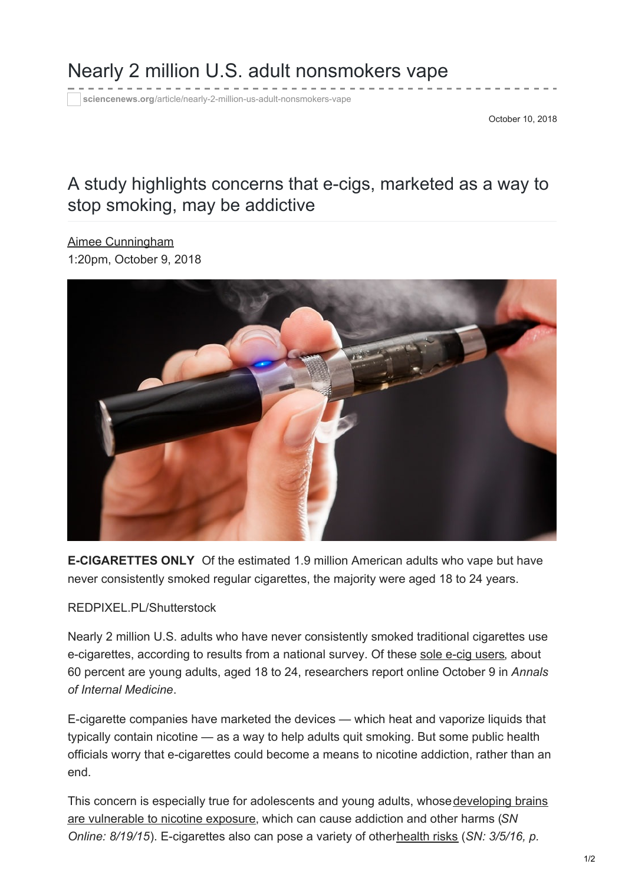## Nearly 2 million U.S. adult nonsmokers vape

**sciencenews.org**[/article/nearly-2-million-us-adult-nonsmokers-vape](https://www.sciencenews.org/article/nearly-2-million-us-adult-nonsmokers-vape)

October 10, 2018

## A study highlights concerns that e-cigs, marketed as a way to stop smoking, may be addictive

Aimee [Cunningham](https://www.sciencenews.org/author/aimee-cunningham) 1:20pm, October 9, 2018



**E-CIGARETTES ONLY** Of the estimated 1.9 million American adults who vape but have never consistently smoked regular cigarettes, the majority were aged 18 to 24 years.

## REDPIXEL.PL/Shutterstock

Nearly 2 million U.S. adults who have never consistently smoked traditional cigarettes use e-cigarettes, according to results from a national survey. Of these sole e-cig [users,](http://annals.org/aim/article/doi/10.7326/M18-1826) about 60 percent are young adults, aged 18 to 24, researchers report online October 9 in *Annals of Internal Medicine*.

E-cigarette companies have marketed the devices — which heat and vaporize liquids that typically contain nicotine — as a way to help adults quit smoking. But some public health officials worry that e-cigarettes could become a means to nicotine addiction, rather than an end.

This concern is especially true for adolescents and young adults, whose developing brains are vulnerable to nicotine exposure, which can cause addiction and other harms (*SN Online: 8/19/15*). E-cigarettes also can pose a variety of other[health](https://www.sciencenews.org/article/vaping-linked-host-new-health-risks) risks (*SN: 3/5/16, p.*